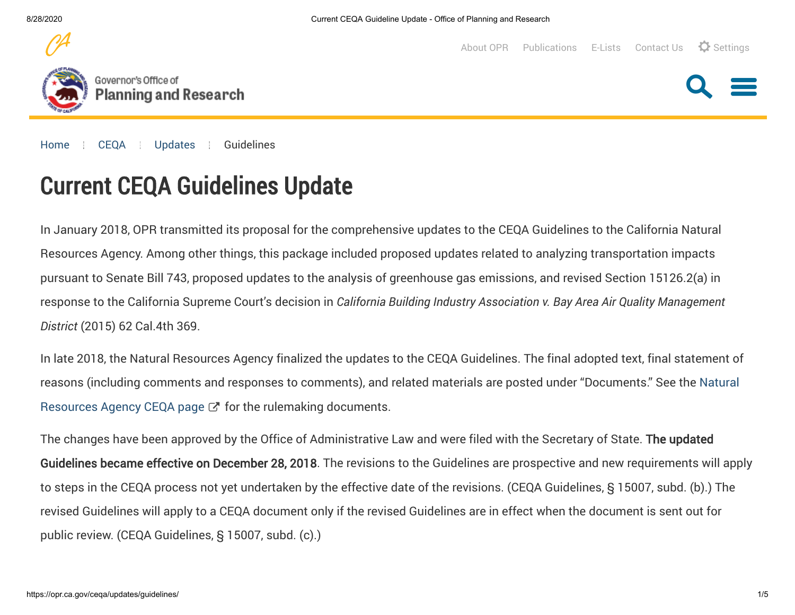



[About OPR](https://opr.ca.gov/about/) [Publications](https://opr.ca.gov/publications.html) [E-Lists](https://opr.ca.gov/e-lists.html) [Contact Us](https://opr.ca.gov/about/contact-us.html)  $\Omega$  Settings

[Home](https://opr.ca.gov/) [CEQA](https://opr.ca.gov/ceqa/) [Updates](https://opr.ca.gov/ceqa/updates/) Guidelines

# Current CEQA Guidelines Update **Current CEQA Guidelines Update**

In January 2018, OPR transmitted its proposal for the comprehensive updates to the CEQA Guidelines to the California Natural Resources Agency. Among other things, this package included proposed updates related to analyzing transportation impacts pursuant to Senate Bill 743, proposed updates to the analysis of greenhouse gas emissions, and revised Section 15126.2(a) in response to the California Supreme Court's decision in *California Building Industry Association v. Bay Area Air Quality Management District* (2015) 62 Cal.4th 369.

In late 2018, the Natural Resources Agency finalized the updates to the CEQA Guidelines. The final adopted text, final statement of [reasons \(including comments and responses to comments\), and related materials are posted under "Documents." See the Natural](https://resources.ca.gov/About-Us/Legal/CEQA-Supplemental-Documents) Resources Agency CEQA page  $\mathbb{Z}^n$  for the rulemaking documents.

The changes have been approved by the Office of Administrative Law and were filed with the Secretary of State. **The updated Guidelines became effective on December 28, 2018**. The revisions to the Guidelines are prospective and new requirements will apply to steps in the CEQA process not yet undertaken by the effective date of the revisions. (CEQA Guidelines, § 15007, subd. (b).) The revised Guidelines will apply to a CEQA document only if the revised Guidelines are in effect when the document is sent out for public review. (CEQA Guidelines, § 15007, subd. (c).)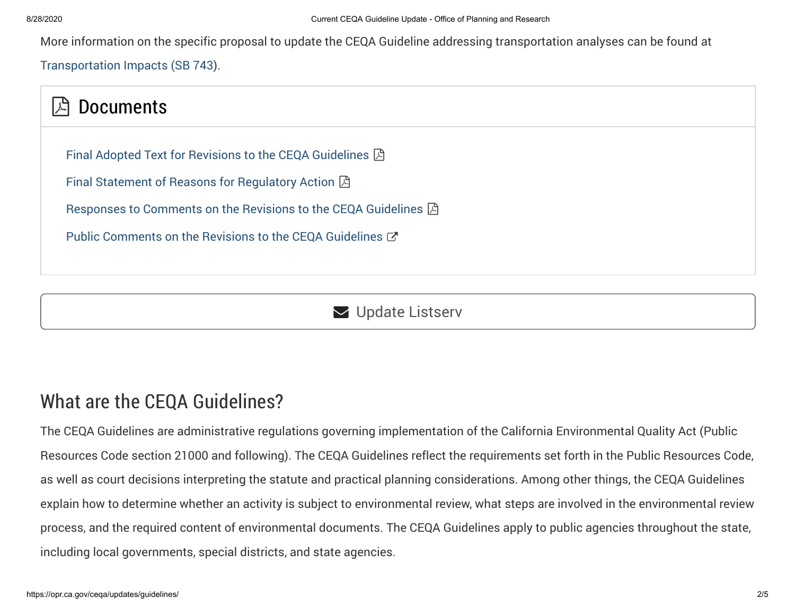More information on the specific proposal to update the CEQA Guideline addressing transportation analyses can be found at

[Transportation Impacts \(SB 743\)](https://opr.ca.gov/ceqa/updates/sb-743/).

## **A** Documents

[Final Adopted Text for Revisions to the CEQA Guidelines](http://resources.ca.gov/ceqa/docs/2018_CEQA_FINAL_TEXT_122818.pdf)  $\boxtimes$ 

[Final Statement of Reasons for Regulatory Action](http://resources.ca.gov/ceqa/docs/2018_CEQA_Final_Statement_of%20Reasons_111218.pdf)  $\boxtimes$ 

[Responses to Comments on the Revisions to the CEQA Guidelines](http://resources.ca.gov/ceqa/docs/2018_CEQA_ExA_FSOR.pdf)  $\boxtimes$ 

[Public Comments on the Revisions to the CEQA Guidelines](http://resources.ca.gov/ceqa/docs/update2018/posted-comments/index-new.html)  $\mathbb{Z}^n$ 

**V** Update Listserv

### What are the CEQA Guidelines?

The CEQA Guidelines are administrative regulations governing implementation of the California Environmental Quality Act (Public Resources Code section 21000 and following). The CEQA Guidelines reflect the requirements set forth in the Public Resources Code, as well as court decisions interpreting the statute and practical planning considerations. Among other things, the CEQA Guidelines explain how to determine whether an activity is subject to environmental review, what steps are involved in the environmental review process, and the required content of environmental documents. The CEQA Guidelines apply to public agencies throughout the state, including local governments, special districts, and state agencies.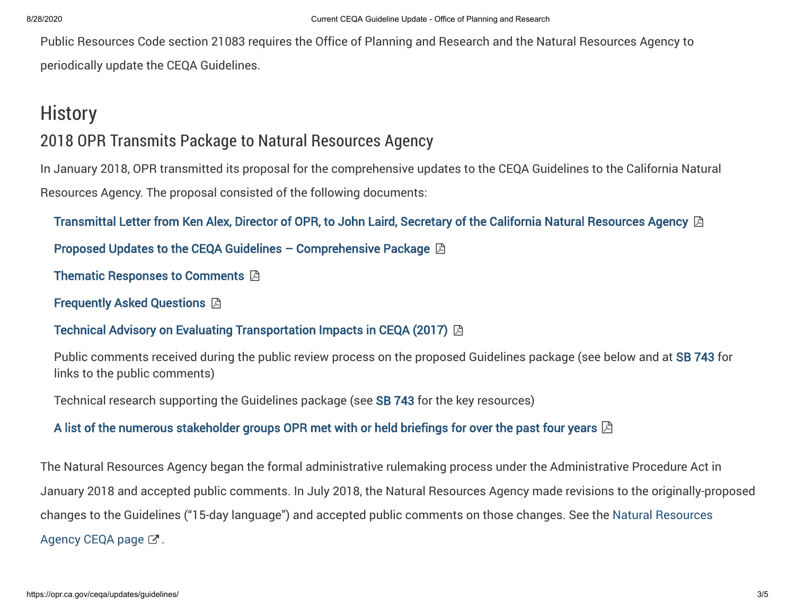Public Resources Code section 21083 requires the Office of Planning and Research and the Natural Resources Agency to periodically update the CEQA Guidelines.

### **History**

### 2018 OPR Transmits Package to Natural Resources Agency

In January 2018, OPR transmitted its proposal for the comprehensive updates to the CEQA Guidelines to the California Natural Resources Agency. The proposal consisted of the following documents:

[Transmittal Letter from Ken Alex, Director of OPR, to John Laird, Secretary of the California Natural Resources Agency](https://opr.ca.gov/docs/20171127_Transmittal_Letter_OPR_to_Resources_Nov_2017.pdf)  $\boxtimes$ 

[Proposed Updates to the CEQA Guidelines – Comprehensive Package](https://opr.ca.gov/docs/20171127_Comprehensive_CEQA_Guidelines_Package_Nov_2017.pdf)  $\boxtimes$ 

[Thematic Responses to Comments](https://opr.ca.gov/docs/20171127_OPR_Thematic_Responses_to_Comments_Nov_2017.pdf)  $\boxtimes$ 

Frequently Asked Questions [Frequently Asked Questions](https://opr.ca.gov/docs/20171127_FAQs_Nov_2017.pdf)

### Technical Advisory on Evaluating Transportation Impacts in CEQA (2017) [Technical Advisory on Evaluating Transportation Impacts in CEQA \(2017\)](https://opr.ca.gov/docs/20171127_Transportation_Analysis_TA_Nov_2017.pdf)

Public comments received during the public review process on the proposed Guidelines package (see below and at SB 743 for links to the public comments)

Technical research supporting the Guidelines package (see SB 743 for the key resources)

### [A list of the numerous stakeholder groups OPR met with or held briefings for over the past four years](https://opr.ca.gov/docs/20190712-Public_Outreach_Nov_2017.pdf)  $\boxtimes$

The Natural Resources Agency began the formal administrative rulemaking process under the Administrative Procedure Act in January 2018 and accepted public comments. In July 2018, the Natural Resources Agency made revisions to the originally-proposed [changes to the Guidelines \("15-day language"\) and accepted public comments on those changes. See the Natural Resources](http://resources.ca.gov/ceqa/) Agency CEQA page  $\mathbb{Z}$ .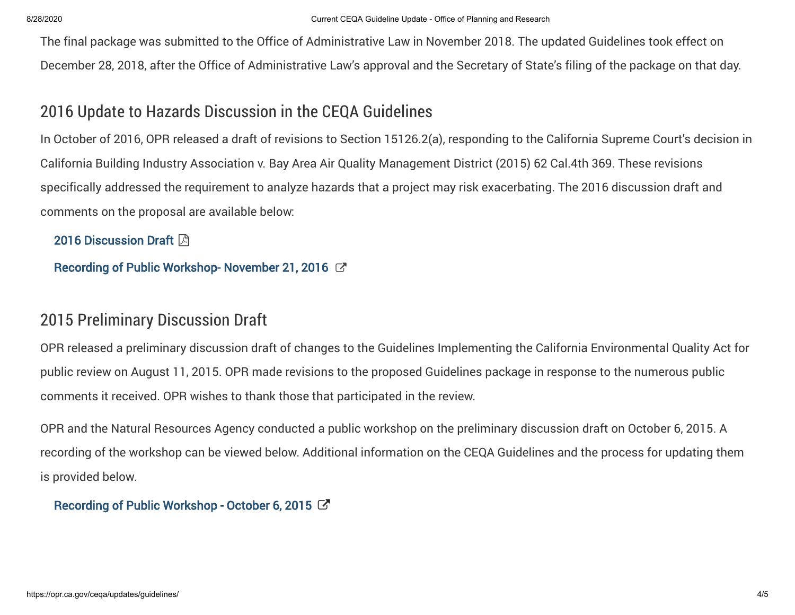The final package was submitted to the Office of Administrative Law in November 2018. The updated Guidelines took effect on December 28, 2018, after the Office of Administrative Law's approval and the Secretary of State's filing of the package on that day.

### 2016 Update to Hazards Discussion in the CEQA Guidelines

In October of 2016, OPR released a draft of revisions to Section 15126.2(a), responding to the California Supreme Court's decision in California Building Industry Association v. Bay Area Air Quality Management District (2015) 62 Cal.4th 369. These revisions specifically addressed the requirement to analyze hazards that a project may risk exacerbating. The 2016 discussion draft and comments on the proposal are available below:

[2016 Discussion Draft](https://opr.ca.gov/docs/Proposed_Amendments_to_Section_15126.2a_Regarding_Hazards_10212016.pdf)  $\boxtimes$ 

[Recording of Public Workshop- November 21, 2016](https://www.youtube.com/watch?v=jkPV4P--PYM)  $\heartsuit$ 

### 2015 Preliminary Discussion Draft

OPR released a preliminary discussion draft of changes to the Guidelines Implementing the California Environmental Quality Act for public review on August 11, 2015. OPR made revisions to the proposed Guidelines package in response to the numerous public comments it received. OPR wishes to thank those that participated in the review.

OPR and the Natural Resources Agency conducted a public workshop on the preliminary discussion draft on October 6, 2015. A recording of the workshop can be viewed below. Additional information on the CEQA Guidelines and the process for updating them is provided below.

[Recording of Public Workshop - October 6, 2015](https://youtu.be/d6kQUjvjsnA)  $\mathbb{Z}$